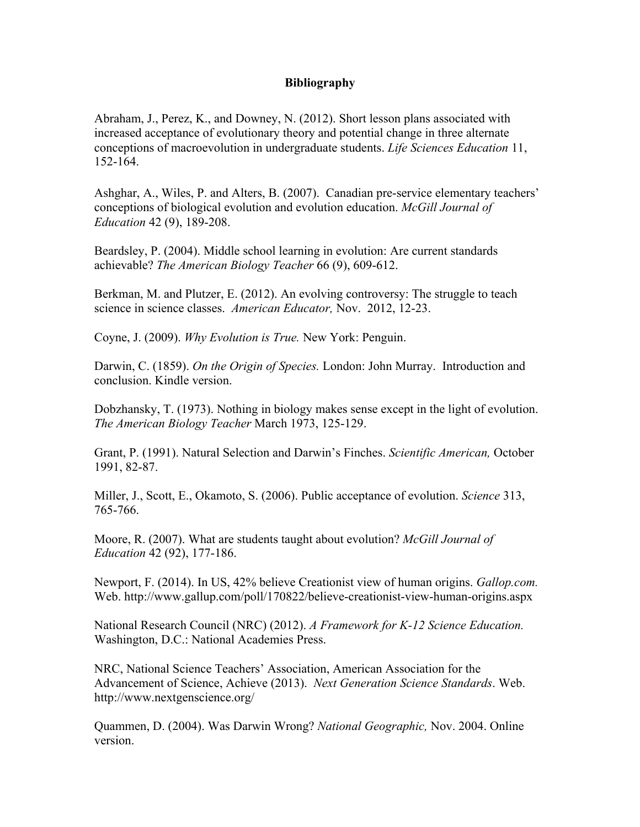## **Bibliography**

Abraham, J., Perez, K., and Downey, N. (2012). Short lesson plans associated with increased acceptance of evolutionary theory and potential change in three alternate conceptions of macroevolution in undergraduate students. *Life Sciences Education* 11, 152-164.

Ashghar, A., Wiles, P. and Alters, B. (2007). Canadian pre-service elementary teachers' conceptions of biological evolution and evolution education. *McGill Journal of Education* 42 (9), 189-208.

Beardsley, P. (2004). Middle school learning in evolution: Are current standards achievable? *The American Biology Teacher* 66 (9), 609-612.

Berkman, M. and Plutzer, E. (2012). An evolving controversy: The struggle to teach science in science classes. *American Educator,* Nov. 2012, 12-23.

Coyne, J. (2009). *Why Evolution is True.* New York: Penguin.

Darwin, C. (1859). *On the Origin of Species.* London: John Murray. Introduction and conclusion. Kindle version.

Dobzhansky, T. (1973). Nothing in biology makes sense except in the light of evolution. *The American Biology Teacher* March 1973, 125-129.

Grant, P. (1991). Natural Selection and Darwin's Finches. *Scientific American,* October 1991, 82-87.

Miller, J., Scott, E., Okamoto, S. (2006). Public acceptance of evolution. *Science* 313, 765-766.

Moore, R. (2007). What are students taught about evolution? *McGill Journal of Education* 42 (92), 177-186.

Newport, F. (2014). In US, 42% believe Creationist view of human origins. *Gallop.com.*  Web. http://www.gallup.com/poll/170822/believe-creationist-view-human-origins.aspx

National Research Council (NRC) (2012). *A Framework for K-12 Science Education.*  Washington, D.C.: National Academies Press.

NRC, National Science Teachers' Association, American Association for the Advancement of Science, Achieve (2013). *Next Generation Science Standards*. Web. http://www.nextgenscience.org/

Quammen, D. (2004). Was Darwin Wrong? *National Geographic,* Nov. 2004. Online version.